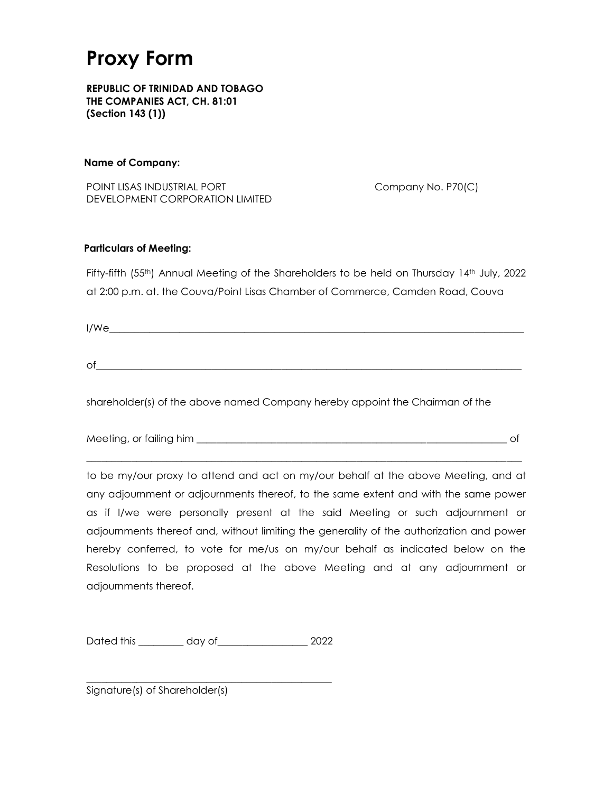### **Proxy Form**

**REPUBLIC OF TRINIDAD AND TOBAGO THE COMPANIES ACT, CH. 81:01 (Section 143 (1))**

#### **Name of Company:**

POINT LISAS INDUSTRIAL PORT Company No. P70(C) DEVELOPMENT CORPORATION LIMITED

#### **Particulars of Meeting:**

Fifty-fifth (55<sup>th</sup>) Annual Meeting of the Shareholders to be held on Thursday 14<sup>th</sup> July, 2022 at 2:00 p.m. at. the Couva/Point Lisas Chamber of Commerce, Camden Road, Couva

 $I/We$ 

 $\circ$  f

shareholder(s) of the above named Company hereby appoint the Chairman of the

| Meeting, or failing him |  |
|-------------------------|--|
|                         |  |
|                         |  |

to be my/our proxy to attend and act on my/our behalf at the above Meeting, and at any adjournment or adjournments thereof, to the same extent and with the same power as if I/we were personally present at the said Meeting or such adjournment or adjournments thereof and, without limiting the generality of the authorization and power hereby conferred, to vote for me/us on my/our behalf as indicated below on the Resolutions to be proposed at the above Meeting and at any adjournment or adjournments thereof.

Dated this day of 2022

\_\_\_\_\_\_\_\_\_\_\_\_\_\_\_\_\_\_\_\_\_\_\_\_\_\_\_\_\_\_\_\_\_\_\_\_\_\_\_\_\_\_\_\_\_\_\_\_\_

Signature(s) of Shareholder(s)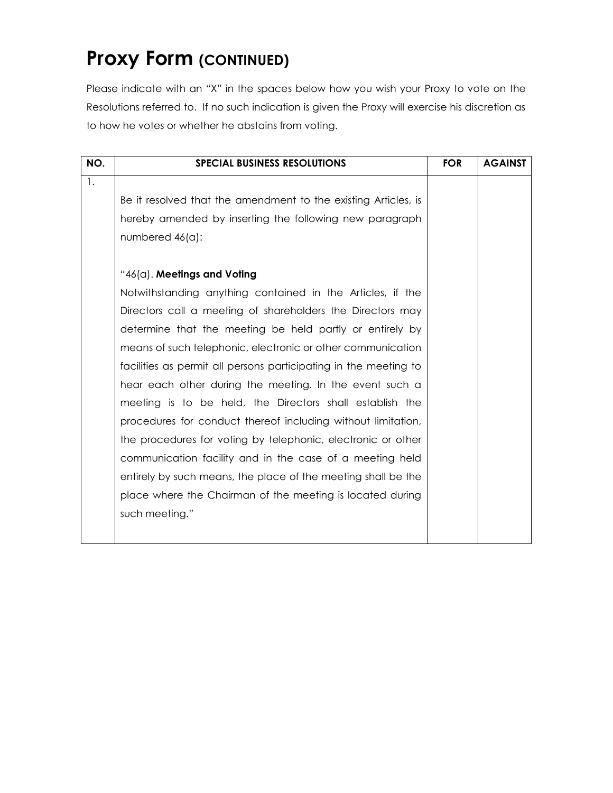## **Proxy Form (CONTINUED)**

Please indicate with an "X" in the spaces below how you wish your Proxy to vote on the Resolutions referred to. If no such indication is given the Proxy will exercise his discretion as to how he votes or whether he abstains from voting.

| NO. | <b>SPECIAL BUSINESS RESOLUTIONS</b>                              | <b>FOR</b> | <b>AGAINST</b> |
|-----|------------------------------------------------------------------|------------|----------------|
| 1.  |                                                                  |            |                |
|     | Be it resolved that the amendment to the existing Articles, is   |            |                |
|     | hereby amended by inserting the following new paragraph          |            |                |
|     | numbered 46(a):                                                  |            |                |
|     |                                                                  |            |                |
|     | " $46(0)$ . Meetings and Voting                                  |            |                |
|     | Notwithstanding anything contained in the Articles, if the       |            |                |
|     | Directors call a meeting of shareholders the Directors may       |            |                |
|     | determine that the meeting be held partly or entirely by         |            |                |
|     | means of such telephonic, electronic or other communication      |            |                |
|     | facilities as permit all persons participating in the meeting to |            |                |
|     | hear each other during the meeting. In the event such a          |            |                |
|     | meeting is to be held, the Directors shall establish the         |            |                |
|     | procedures for conduct thereof including without limitation,     |            |                |
|     | the procedures for voting by telephonic, electronic or other     |            |                |
|     | communication facility and in the case of a meeting held         |            |                |
|     | entirely by such means, the place of the meeting shall be the    |            |                |
|     | place where the Chairman of the meeting is located during        |            |                |
|     | such meeting."                                                   |            |                |
|     |                                                                  |            |                |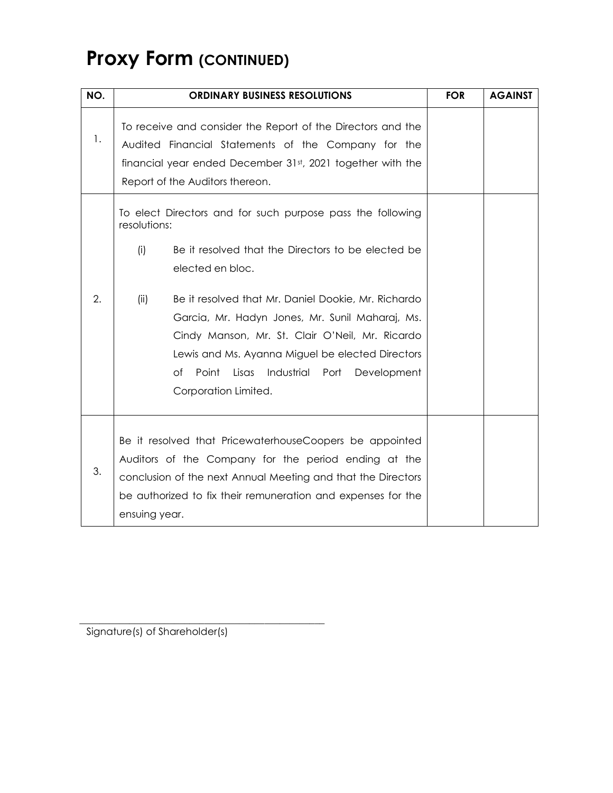# **Proxy Form (CONTINUED)**

| NO. | <b>ORDINARY BUSINESS RESOLUTIONS</b>                                                                                                                                                                                                                                                                                                                                                                                                                                      | <b>FOR</b> | <b>AGAINST</b> |
|-----|---------------------------------------------------------------------------------------------------------------------------------------------------------------------------------------------------------------------------------------------------------------------------------------------------------------------------------------------------------------------------------------------------------------------------------------------------------------------------|------------|----------------|
| 1.  | To receive and consider the Report of the Directors and the<br>Audited Financial Statements of the Company for the<br>financial year ended December 31st, 2021 together with the<br>Report of the Auditors thereon.                                                                                                                                                                                                                                                       |            |                |
| 2.  | To elect Directors and for such purpose pass the following<br>resolutions:<br>(i)<br>Be it resolved that the Directors to be elected be<br>elected en bloc.<br>Be it resolved that Mr. Daniel Dookie, Mr. Richardo<br>(ii)<br>Garcia, Mr. Hadyn Jones, Mr. Sunil Maharaj, Ms.<br>Cindy Manson, Mr. St. Clair O'Neil, Mr. Ricardo<br>Lewis and Ms. Ayanna Miguel be elected Directors<br>Point<br>оf<br>Lisas<br>Industrial<br>Port<br>Development<br>Corporation Limited. |            |                |
| 3.  | Be it resolved that PricewaterhouseCoopers be appointed<br>Auditors of the Company for the period ending at the<br>conclusion of the next Annual Meeting and that the Directors<br>be authorized to fix their remuneration and expenses for the<br>ensuing year.                                                                                                                                                                                                          |            |                |

Signature(s) of Shareholder(s)

\_\_\_\_\_\_\_\_\_\_\_\_\_\_\_\_\_\_\_\_\_\_\_\_\_\_\_\_\_\_\_\_\_\_\_\_\_\_\_\_\_\_\_\_\_\_\_\_\_